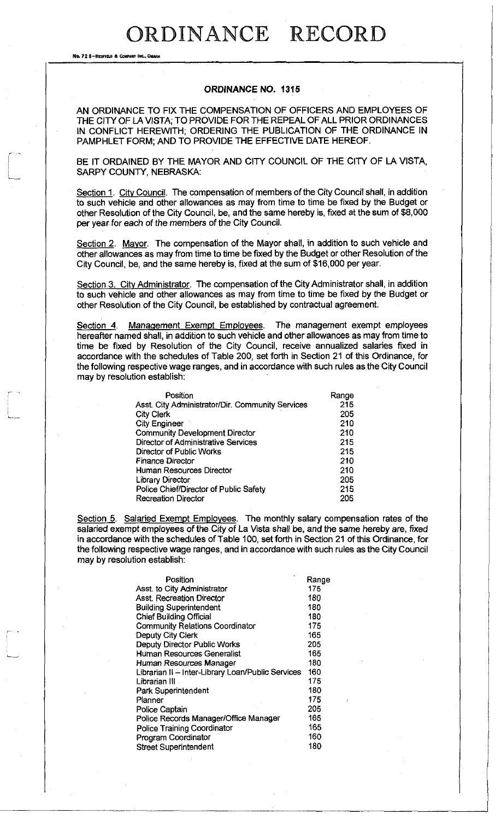No. 72 8-REDFIELD & COMPANY INC., OMAHA

#### **ORDINANCE NO. 1315**

AN ORDINANCE TO FIX THE COMPENSATION OF OFFICERS AND EMPLOYEES OF THE CITY OF LA VISTA; TO PROVIDE FOR THE REPEAL OF ALL PRIOR ORDINANCES IN CONFLICT HEREWITH; ORDERING THE PUBLICATION OF THE ORDINANCE IN PAMPHLET FORM; AND TO PROVIDE THE EFFECTIVE DATE HEREOF.

BE IT ORDAINED BY THE MAYOR AND CITY COUNCIL OF THE CITY OF LA VISTA, SARPY COUNTY, NEBRASKA:

Section 1. City Council. The compensation of members of the City Council shall, in addition to such vehicle and other allowances as may from time to time be fixed by the Budget or other Resolution of the City Council, be, and the same hereby is, fixed at the sum of \$8,000 per year for each of the members of the City Council.

Section 2. Mayor. The compensation of the Mayor shall, in addition to such vehicle and other allowances as may from time to time be fixed by the Budget or other Resolution of the City Council, be, and the same hereby is, fixed at the sum of \$16,000 per year.

Section 3. City Administrator. The compensation of the City Administrator shall, in addition to such vehicle and other allowances as may from time to time be fixed by the Budget or other Resolution of the City Council, be established by contractual agreement.

Section 4. Management Exempt Employees. The management exempt employees hereafter named shall, in addition to such vehicle and other allowances as may from time to time be fixed by Resolution of the City Council, receive annualized salaries fixed in accordance with the schedules of Table 200, set forth in Section 21 of this Ordinance, for the following respective wage ranges, and in accordance with such rules as the City Council may by resolution establish:

| يبادر المصم | Position                                         | Range |
|-------------|--------------------------------------------------|-------|
|             | Asst. City Administrator/Dir. Community Services | 215   |
| ستسا        | <b>City Clerk</b>                                | 205   |
|             | City Engineer                                    | 210   |
|             | <b>Community Development Director</b>            | 210   |
|             | <b>Director of Administrative Services</b>       | 215   |
|             | Director of Public Works                         | 215   |
|             | <b>Finance Director</b>                          | 210   |
|             | Human Resources Director                         | 210   |
|             | Library Director                                 | 205   |
|             | Police Chief/Director of Public Safety           | 215   |
|             | <b>Recreation Director</b>                       | 205   |

Section 5. Salaried Exempt Employees. The monthly salary compensation rates of the salaried exempt employees of the City of La Vista shall be, and the same hereby are, fixed in accordance with the schedules of Table 100, set forth in Section 21 of this Ordinance, for the following respective wage ranges, and in accordance with such rules as the City Council may by resolution establish:

| Position                                          | Range |
|---------------------------------------------------|-------|
| Asst. to City Administrator                       | 175   |
| Asst. Recreation Director                         | 180   |
| <b>Building Superintendent</b>                    | 180   |
| <b>Chief Building Official</b>                    | 180   |
| <b>Community Relations Coordinator</b>            | 175   |
| Deputy City Clerk                                 | 165   |
| Deputy Director Public Works                      | 205   |
| Human Resources Generalist                        | 165   |
| Human Resources Manager                           | 180   |
| Librarian II - Inter-Library Loan/Public Services | 160   |
| Librarian III                                     | 175   |
| Park Superintendent                               | 180   |
| Planner i                                         | 175   |
| <b>Police Captain</b>                             | 205   |
| Police Records Manager/Office Manager             | 165   |
| <b>Police Training Coordinator</b>                | 165   |
| Program Coordinator                               | 160   |
| <b>Street Superintendent</b>                      | 180   |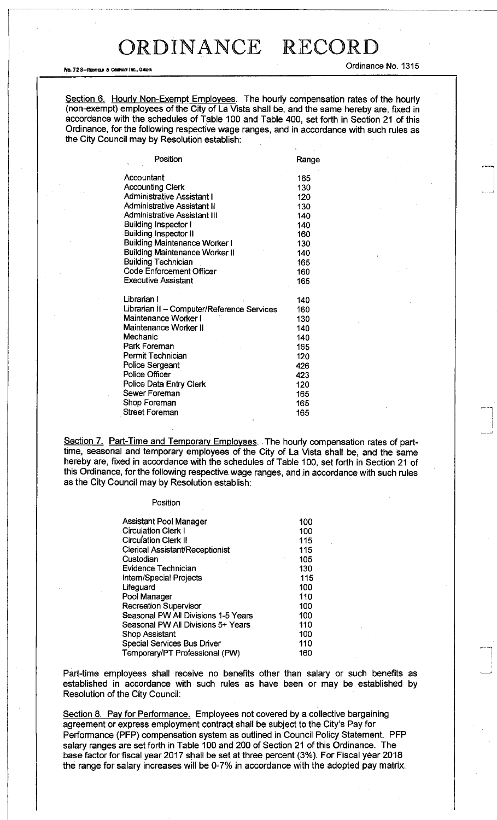No. 72 8—REDFIELD & COMPARY INC., OMAHA ORDINANT COMPART OF COMPART OF COMPART OF COMPART OF COMPART OF COMPART OF COMPART OF COMPART OF COMPART OF COMPART OF COMPART OF COMPART OF COMPART OF COMPART OF COMPART OF COMPART

Section 6. Hourly Non-Exempt Employees. The hourly compensation rates of the hourly (non-exempt) employees of the City of La Vista shall be, and the same hereby are, fixed in accordance with the schedules of Table 100 and Table 400, set forth in Section 21 of this Ordinance, for the following respective wage ranges, and in accordance with such rules as the City Council may by Resolution establish:

| Position                                   | Range |
|--------------------------------------------|-------|
| Accountant                                 | 165   |
| <b>Accounting Clerk</b>                    | 130   |
| <b>Administrative Assistant I</b>          | 120   |
| <b>Administrative Assistant II</b>         | 130   |
| Administrative Assistant III               | 140   |
| <b>Building Inspector I</b>                | 140   |
| <b>Building Inspector II</b>               | 160   |
| <b>Building Maintenance Worker I</b>       | 130   |
| <b>Building Maintenance Worker II</b>      | 140   |
| <b>Building Technician</b>                 | 165   |
| <b>Code Enforcement Officer</b>            | 160   |
| Executive Assistant                        | 165   |
| Librarian I                                | 140   |
| Librarian II - Computer/Reference Services | 160   |
| Maintenance Worker I                       | 130   |
| Maintenance Worker II                      | 140   |
| Mechanic                                   | 140   |
| Park Foreman                               | 165   |
| Permit Technician                          | 120   |
| Police Sergeant                            | 426   |
| Police Officer                             | 423   |
| Police Data Entry Clerk                    | 120   |
| Sewer Foreman                              | 165   |
| Shop Foreman                               | 165   |
| <b>Street Foreman</b>                      | 165   |
|                                            |       |

Section 7. Part-Time and Temporary Employees. The hourly compensation rates of parttime, seasonal and temporary employees of the City of La Vista shall be, and the same hereby are, fixed in accordance with the schedules of Table 100, set forth in Section 21 of this Ordinance, for the following respective wage ranges, and in accordance with such rules as the City Council may by Resolution establish:

| Assistant Pool Manager              | 100 |
|-------------------------------------|-----|
| <b>Circulation Clerk I</b>          | 100 |
| <b>Circulation Clerk II</b>         | 115 |
| Clerical Assistant/Receptionist     | 115 |
| Custodian                           | 105 |
| Evidence Technician                 | 130 |
| Intem/Special Projects              | 115 |
| Lifeguard                           | 100 |
| Pool Manager                        | 110 |
| <b>Recreation Supervisor</b>        | 100 |
| Seasonal PW All Divisions 1-5 Years | 100 |
| Seasonal PW All Divisions 5+ Years  | 110 |
| Shop Assistant                      | 100 |
| Special Services Bus Driver         | 110 |
| Temporary/PT Professional (PW)      | 160 |

Part-time employees shall receive no benefits other than salary or such benefits as established in accordance with such rules as have been or may be established by Resolution of the City Council:

Section 8. Pay for Performance. Employees not covered by a collective bargaining agreement or express employment contract shall be subject to the City's Pay for Performance (PFP) compensation system as outlined in Council Policy Statement. PFP salary ranges are set forth in Table 100 and 200 of Section 21 of this Ordinance. The base factor for fiscal year 2017 shall be set at three percent (3%). For Fiscal year 2018 the range for salary increases will be 0-7% in accordance with the adopted pay matrix.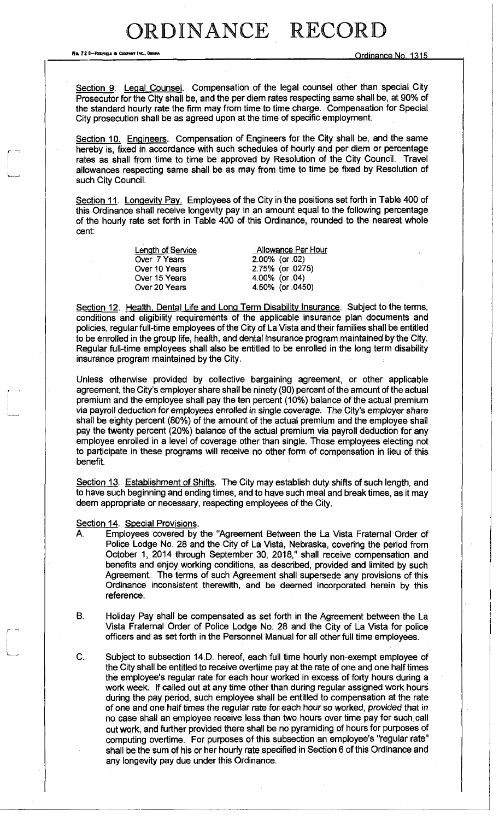No. 728-Reprised & Company Inc., Omaha

Section 9. Legal Counsel. Compensation of the legal counsel other than special City Prosecutor for the City shall be, and the per diem rates respecting same shall be, at 90% of the standard hourly rate the firm may from time to time charge. Compensation for Special City prosecution shall be as agreed upon at the time of specific employment.

Section 10. Engineers. Compensation of Engineers for the City shall be, and the same hereby is, fixed in accordance with such schedules of hourly and per diem or percentage rates as shall from time to time be approved by Resolution of the City Council. Travel allowances respecting same shall be as may from time to time be fixed by Resolution of such City Council.

Section 11. Longevity Pay. Employees of the City in the positions set forth in Table 400 of this Ordinance shall receive longevity pay in an amount equal to the following percentage of the hourly rate set forth in Table 400 of this Ordinance, rounded to the nearest whole cent:

| Allowance Per Hour |
|--------------------|
| $2.00\%$ (or .02)  |
| 2.75% (or .0275)   |
| 4.00% (or .04)     |
| 4.50% (or .0450)   |
|                    |

Section 12. Health, Dental Life and Long Term Disability Insurance. Subject to the terms, conditions and eligibility requirements of the applicable insurance plan documents and policies, regular full-time employees of the City of La Vista and their families shall be entitled to be enrolled in the group life, health, and dental insurance program maintained by the City. Regular full-time employees shall also be entitled to be enrolled in the long term disability insurance program maintained by the City.

Unless otherwise provided by collective bargaining agreement, or other applicable agreement, the City's employer share shall be ninety (90) percent of the amount of the actual premium and the employee shall pay the ten percent (10%) balance of the actual premium via payroll deduction for employees enrolled in single coverage. The City's employer share shall be eighty percent (80%) of the amount of the actual premium and the employee shall pay the twenty percent (20%) balance of the actual premium via payroll deduction for any employee enrolled in a level of coverage other than single. Those employees electing not to participate in these programs will receive no other form of compensation in lieu of this benefit.

Section 13. Establishment of Shifts. The City may establish duty shifts of such length, and to have such beginning and ending times, and to have such meal and break times, as it may deem appropriate or necessary, respecting employees of the City.

Section 14. Special Provisions.

- A. Employees covered by the "Agreement Between the La Vista Fraternal Order of Police Lodge No. 28 and the City of La Vista, Nebraska, covering the period from October 1, 2014 through September 30, 2018," shall receive compensation and benefits and enjoy working conditions, as described, provided and limited by such Agreement. The terms of such Agreement shall supersede any provisions of this Ordinance inconsistent therewith, and be deemed incorporated herein by this reference.
- B. Holiday Pay shall be compensated as set forth in the Agreement between the La Vista Fraternal Order of Police Lodge No. 28 and the City of La Vista for police officers and as set forth in the Personnel Manual for all other full time employees.
- C. Subject to subsection 14.D. hereof, each full time hourly non-exempt employee of the City shall be entitled to receive overtime pay at the rate of one and one half times the employee's regular rate for each hour worked in excess of forty hours during a work week. If called out at any time other than during regular assigned work hours during the pay period, such employee shall be entitled to compensation at the rate of one and one half times the regular rate for each hour so worked, provided that in no case shall an employee receive less than two hours over time pay for such call out work, and further provided there shall be no pyramiding of hours for purposes of computing overtime. For purposes of this subsection an employee's "regular rate" shall be the sum of his or her hourly rate specified in Section 6 of this Ordinance and any longevity pay due under this Ordinance.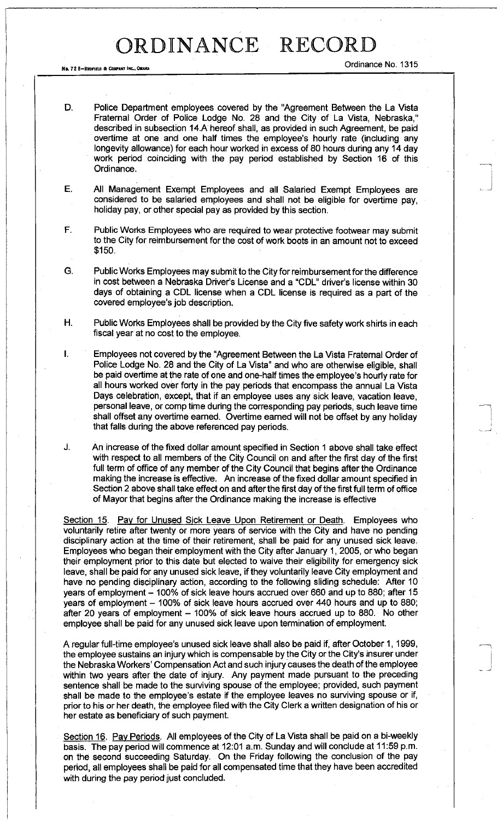No. 72 8—REDFIELD & COMPANY INC., OMAHA ORAHA ORAHA ORAHA ORAHA ORAHA ORAHA ORAHA ORAHA ORAHA ORAHA ORAHA ORAHA ORAHA ORAHA ORAHA ORAHA ORAHA ORAHA ORAHA ORAHA ORAHA ORAHA ORAHA ORAHA ORAHA ORAHA ORAHA ORAHA ORAHA ORAHA OR

- D. Police Department employees covered by the "Agreement Between the La Vista Fraternal Order of Police Lodge No. 28 and the City of La Vista, Nebraska," described in subsection 14.A hereof shall, as provided in such Agreement, be paid overtime at one and one half times the employee's hourly rate (including any longevity allowance) for each hour worked in excess of 80 hours during any 14 day work period coinciding with the pay period established by Section 16 of this Ordinance.
- E. All Management Exempt Employees and all Salaried Exempt Employees are considered to be salaried employees and shall not be eligible for overtime pay, holiday pay, or other special pay as provided by this section.
- F. Public Works Employees who are required to wear protective footwear may submit to the City for reimbursement for the cost of work boots in an amount not to exceed \$150.
- G. Public Works Employees may submit to the City for reimbursement for the difference in cost between a Nebraska Driver's License and a "CDL" driver's license within 30 days of obtaining a CDL license when a CDL license is required as a part of the covered employee's job description.
- H. Public Works Employees shall be provided by the City five safety work shirts in each fiscal year at no cost to the employee.
- I. Employees not covered by the "Agreement Between the La Vista Fraternal Order of Police Lodge No. 28 and the City of La Vista" and who are otherwise eligible, shall be paid overtime at the rate of one and one-half times the employee's hourly rate for all hours worked over forty in the pay periods that encompass the annual La Vista Days celebration, except, that if an employee uses any sick leave, vacation leave, personal leave, or comp time during the corresponding pay periods, such leave time shall offset any overtime earned. Overtime earned will not be offset by any holiday that falls during the above referenced pay periods.

J. An increase of the fixed dollar amount specified in Section 1 above shall take effect with respect to all members of the City Council on and after the first day of the first full term of office of any member of the City Council that begins after the Ordinance making the increase is effective. An increase of the fixed dollar amount specified in Section 2 above shall take effect on and after the first day of the first full term of office of Mayor that begins after the Ordinance making the increase is effective

Section 15. Pay for Unused Sick Leave Upon Retirement or Death. Employees who voluntarily retire after twenty or more years of service with the City and have no pending disciplinary action at the time of their retirement, shall be paid for any unused sick leave. Employees who began their employment with the City after January 1, 2005, or who began their employment prior to this date but elected to waive their eligibility for emergency sick leave, shall be paid for any unused sick leave, if they voluntarily leave City employment and have no pending disciplinary action, according to the following sliding schedule: After 10 years of employment - 100% of sick leave hours accrued over 660 and up to 880; after 15 years of employment - 100% of sick leave hours accrued over 440 hours and up to 880; after 20 years of employment  $-$  100% of sick leave hours accrued up to 880. No other employee shall be paid for any unused sick leave upon termination of employment.

A regular full-time employee's unused sick leave shall also be paid if, after October 1,1999, the employee sustains an injury which is compensable by the City or the City's insurer under the Nebraska Workers' Compensation Act and such injury causes the death of the employee within two years after the date of injury. Any payment made pursuant to the preceding sentence shall be made to the surviving spouse of the employee; provided, such payment shall be made to the employee's estate if the employee leaves no surviving spouse or if, prior to his or her death, the employee filed with the City Clerk a written designation of his or her estate as beneficiary of such payment.

Section 16. Pay Periods. All employees of the City of La Vista shall be paid on a bi-weekly basis. The pay period will commence at 12:01 a.m. Sunday and will conclude at 11:59 p.m. on the second succeeding Saturday. On the Friday following the conclusion of the pay period, all employees shall be paid for all compensated time that they have been accredited with during the pay period just concluded.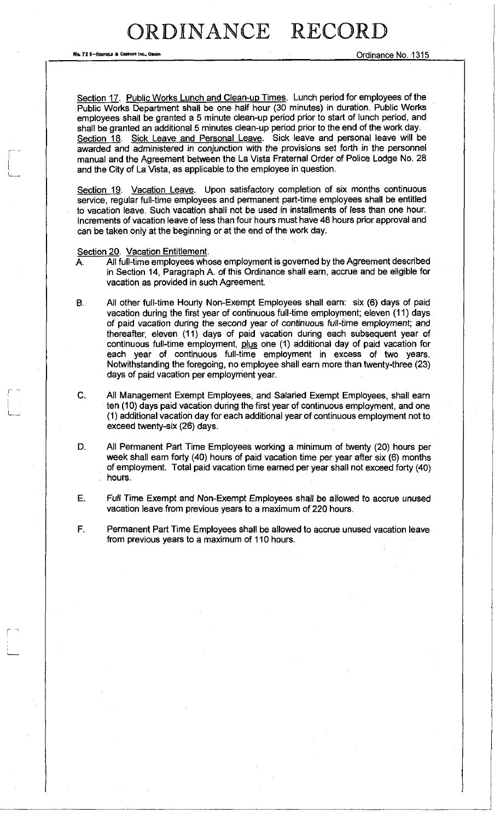No. 72 B-REDFIELD & COMPANY INC., OMANA

Section 17. Public Works Lunch and Clean-up Times. Lunch period for employees of the Public Works Department shall be one half hour (30 minutes) in duration. Public Works employees shall be granted a 5 minute clean-up period prior to start of lunch period, and shall be granted an additional 5 minutes clean-up period prior to the end of the work day. Section 18. Sick Leave and Personal Leave. Sick leave and personal leave will be awarded and administered in conjunction with the provisions set forth in the personnel manual and the Agreement between the La Vista Fraternal Order of Police Lodge No. 28 and the City of La Vista, as applicable to the employee in question.

Section 19. Vacation Leave. Upon satisfactory completion of six months continuous service, regular full-time employees and permanent part-time employees shall be entitled to vacation leave. Such vacation shall not be used in installments of less than one hour. Increments of vacation leave of less than four hours must have 48 hours prior approval and can be taken only at the beginning or at the end of the work day.

Section 20. Vacation Entitlement.

- A. All full-time employees whose employment is governed by the Agreement described in Section 14, Paragraph A. of this Ordinance shall earn, accrue and be eligible for vacation as provided in such Agreement.
- B. All other full-time Hourly Non-Exempt Employees shall earn: six (6) days of paid vacation during the first year of continuous full-time employment; eleven (11) days of paid vacation during the second year of continuous full-time employment; and thereafter, eleven (11) days of paid vacation during each subsequent year of continuous full-time employment, plus one (1) additional day of paid vacation for each year of continuous full-time employment in excess of two years. Notwithstanding the foregoing, no employee shall earn more than twenty-three (23) days of paid vacation per employment year.
- C. All Management Exempt Employees, and Salaried Exempt Employees, shall earn ten (10) days paid vacation during the first year of continuous employment, and one (1) additional vacation day for each additional year of continuous employment not to exceed twenty-six (26) days.
- D. All Permanent Part Time Employees working a minimum of twenty (20) hours per week shall earn forty (40) hours of paid vacation time per year after six (6) months of employment. Total paid vacation time earned per year shall not exceed forty (40) hours.
- E. Full Time Exempt and Non-Exempt Employees shall be allowed to accrue unused vacation leave from previous years to a maximum of 220 hours.
- F. Permanent Part Time Employees shall be allowed to accrue unused vacation leave from previous years to a maximum of 110 hours.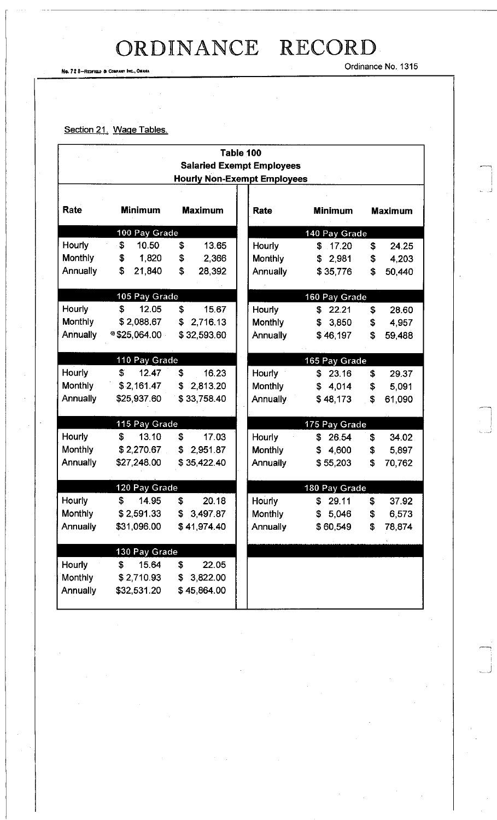No. 72 8-REDFIELD & COMPANY INC., OMAHA

Ordinance No. 1315

#### Section 21. Wage Tables.

| Table 100                          |                              |                |                          |                    |                             |  |  |
|------------------------------------|------------------------------|----------------|--------------------------|--------------------|-----------------------------|--|--|
| <b>Salaried Exempt Employees</b>   |                              |                |                          |                    |                             |  |  |
| <b>Hourly Non-Exempt Employees</b> |                              |                |                          |                    |                             |  |  |
|                                    |                              |                |                          |                    |                             |  |  |
| Rate                               | <b>Minimum</b>               | <b>Maximum</b> | Rate                     | <b>Minimum</b>     | <b>Maximum</b>              |  |  |
|                                    | 100 Pay Grade                |                |                          | 140 Pay Grade      |                             |  |  |
| Hourly                             | 10.50<br>\$                  | \$<br>13.65    | Hourly                   | \$17.20            | \$<br>24.25                 |  |  |
| <b>Monthly</b>                     | \$<br>1,820                  | \$<br>2,366    | Monthly                  | \$2,981            | \$<br>4,203                 |  |  |
| Annually                           | \$<br>21,840                 | \$<br>28,392   | <b>Annually</b>          | \$35,776           | \$<br>50,440                |  |  |
|                                    |                              |                |                          |                    |                             |  |  |
|                                    | 105 Pay Grade                |                |                          | 160 Pay Grade      |                             |  |  |
| Hourly                             | \$<br>12.05                  | \$<br>15.67    | <b>Hourly</b>            | \$22.21            | \$<br>28.60                 |  |  |
| Monthly                            | \$2,088.67                   | 2,716.13<br>\$ | <b>Monthly</b>           | \$3,850            | \$<br>4,957                 |  |  |
| <b>Annually</b>                    | $*$ \$25,064.00              | \$32,593.60    | <b>Annually</b>          | \$46,197           | \$<br>59,488                |  |  |
|                                    |                              |                |                          |                    |                             |  |  |
| Hourly                             | 110 Pay Grade<br>\$<br>12.47 | \$<br>16.23    |                          | 165 Pay Grade      |                             |  |  |
| Monthly                            | \$2,161.47                   | 2,813.20<br>\$ | <b>Hourly</b><br>Monthly | \$23.16<br>\$4,014 | \$<br>29.37                 |  |  |
| Annually                           | \$25,937.60                  | \$33,758.40    | <b>Annually</b>          | \$48,173           | 5,091<br>\$<br>\$<br>61,090 |  |  |
|                                    |                              |                |                          |                    |                             |  |  |
|                                    | 115 Pay Grade                |                |                          | 175 Pay Grade      |                             |  |  |
| Hourly                             | \$<br>13.10                  | \$<br>17.03    | Hourly                   | \$<br>26.54        | \$<br>34.02                 |  |  |
| Monthly                            | \$2,270.67                   | \$<br>2,951.87 | <b>Monthly</b>           | \$<br>4,600        | \$<br>5,897                 |  |  |
| Annually                           | \$27,248.00                  | \$35,422.40    | <b>Annually</b>          | \$55,203           | \$<br>70,762                |  |  |
|                                    |                              |                |                          |                    |                             |  |  |
|                                    | 120 Pay Grade                |                |                          | 180 Pay Grade      |                             |  |  |
| Hourly                             | \$<br>14.95                  | \$<br>20.18    | Hourly                   | \$29.11            | \$<br>37.92                 |  |  |
| Monthly                            | \$2,591.33                   | \$3,497.87     | Monthly                  | \$5,046            | \$<br>6,573                 |  |  |
| Annually                           | \$31,096.00                  | \$41,974.40    | Annually                 | \$60,549           | 78,874<br>\$                |  |  |
|                                    |                              |                |                          |                    |                             |  |  |
|                                    | 130 Pay Grade                |                |                          |                    |                             |  |  |
| Hourly                             | 15.64<br>\$                  | \$<br>22.05    |                          |                    |                             |  |  |
| Monthly                            | \$2,710.93                   | 3,822.00<br>\$ |                          |                    |                             |  |  |
| Annually                           | \$32,531.20                  | \$45,864.00    |                          |                    |                             |  |  |
|                                    |                              |                |                          |                    |                             |  |  |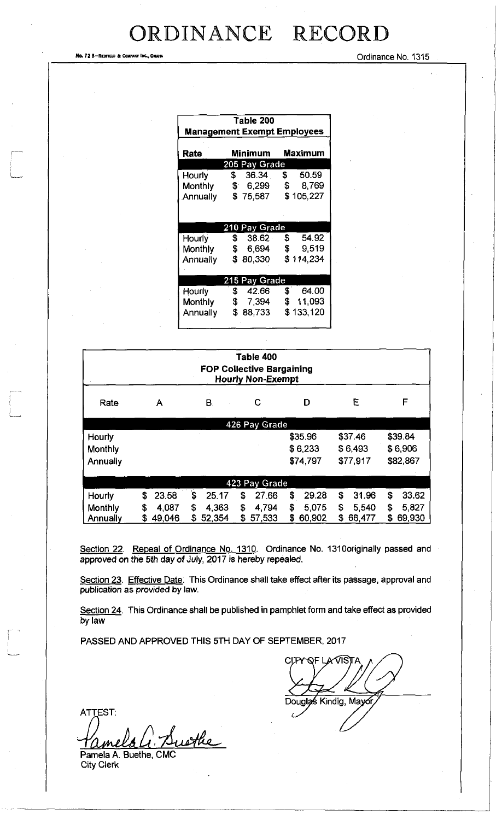No. 72 8-REDFIELD & COMPANT INC., OMAHA COMPANT AND SURFACT DESCRIPTION OF LATING SURFACT DESCRIPTION OF LATING

| Table 200<br><b>Management Exempt Employees</b> |                        |                                        |  |  |  |
|-------------------------------------------------|------------------------|----------------------------------------|--|--|--|
| <b>Maximum</b><br>Rate<br>Minimum               |                        |                                        |  |  |  |
|                                                 | 205 Pay Grade          |                                        |  |  |  |
| <b>Hourly</b>                                   | \$ 36.34               | 50.59<br>\$                            |  |  |  |
| Monthly                                         |                        | \$ 6,299 \$ 8,769                      |  |  |  |
|                                                 | Annually \$75,587      | \$105,227                              |  |  |  |
|                                                 | 210 Pay Grade          |                                        |  |  |  |
| Hourly                                          | \$ 38.62               | \$54.92                                |  |  |  |
| Monthly                                         | $\frac{1}{2}$<br>6,694 | \$<br>9,519                            |  |  |  |
| Annually                                        | \$80,330               | \$114,234                              |  |  |  |
|                                                 |                        |                                        |  |  |  |
|                                                 | 215 Pay Grade          |                                        |  |  |  |
| Hourly                                          | 42.66<br>- \$          | $\boldsymbol{\mathfrak{s}}^-$<br>64.00 |  |  |  |
| Monthly                                         | <b>S</b>               | 7,394 \$ 11,093                        |  |  |  |
| Annually                                        | $\mathbf{s}$<br>88,733 | \$133,120                              |  |  |  |

| Table 400<br><b>FOP Collective Bargaining</b><br><b>Hourly Non-Exempt</b> |              |              |               |              |             |              |  |  |
|---------------------------------------------------------------------------|--------------|--------------|---------------|--------------|-------------|--------------|--|--|
| Rate                                                                      | Α            | B.           | C             | D            | E           | F            |  |  |
|                                                                           |              |              | 426 Pay Grade |              |             |              |  |  |
| Hourly                                                                    |              |              |               | \$35.96      | \$37.46     | \$39.84      |  |  |
| Monthly                                                                   |              |              |               | \$6,233      | \$6,493     | \$6,906      |  |  |
| Annually                                                                  |              |              |               | \$74,797     | \$77,917    | \$82,867     |  |  |
| 423 Pay Grade                                                             |              |              |               |              |             |              |  |  |
| Hourly                                                                    | 23.58<br>\$  | \$<br>25.17  | 27.66<br>\$   | \$<br>29.28  | \$<br>31.96 | \$<br>33.62  |  |  |
| Monthly                                                                   | 4.087<br>\$  | \$<br>4.363  | \$<br>4,794   | \$<br>5,075  | S<br>5,540  | \$<br>5827   |  |  |
| Annually                                                                  | 49,046<br>\$ | 52,354<br>\$ | \$<br>57,533  | \$<br>60,902 | 66,477<br>S | 69,930<br>\$ |  |  |

Section 22. Repeal of Ordinance No. 1310. Ordinance No. 1310 originally passed and approved on the 5th day of July, 2017 is hereby repealed.

Section 23. Effective Date. This Ordinance shall take effect after its passage, approval and publication as provided by law.

Section 24. This Ordinance shall be published in pamphlet form and take effect as provided by law

PASSED AND APPROVED THIS 5TH DAY OF SEPTEMBER, 2017

CLITY OF LAVISTA Douglas Kindig, Mayor

**ATTEST:** Buethe mela

Pamela A. Buethe, CMC City Clerk